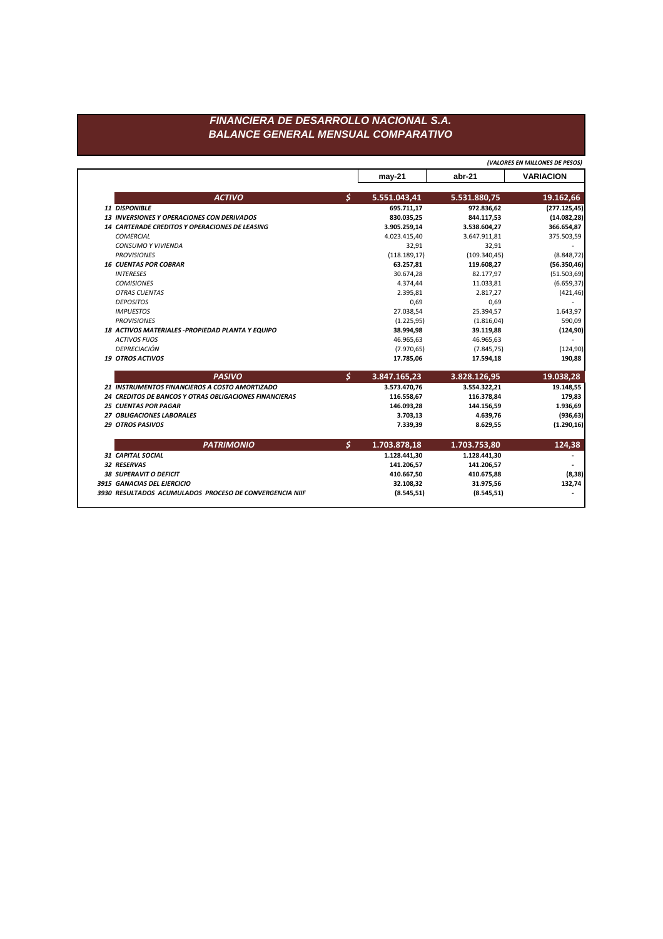## FINANCIERA DE DESARROLLO NACIONAL S.A. **BALANCE GENERAL MENSUAL COMPARATIVO**

(VALORES EN MILLONES DE PESOS)

|                                                         |                      | may-21        | abr-21        | <b>VARIACION</b> |
|---------------------------------------------------------|----------------------|---------------|---------------|------------------|
| <b>ACTIVO</b>                                           | $\boldsymbol{\zeta}$ | 5.551.043,41  | 5.531.880,75  | 19.162,66        |
| 11 DISPONIBLE                                           |                      | 695.711,17    | 972.836,62    | (277.125, 45)    |
| <b>13 INVERSIONES Y OPERACIONES CON DERIVADOS</b>       |                      | 830.035,25    | 844.117,53    | (14.082, 28)     |
| 14 CARTERADE CREDITOS Y OPERACIONES DE LEASING          |                      | 3.905.259,14  | 3.538.604,27  | 366.654,87       |
| <b>COMERCIAL</b>                                        |                      | 4.023.415,40  | 3.647.911,81  | 375.503,59       |
| <b>CONSUMO Y VIVIENDA</b>                               |                      | 32,91         | 32,91         |                  |
| <b>PROVISIONES</b>                                      |                      | (118.189, 17) | (109.340, 45) | (8.848, 72)      |
| <b>16 CUENTAS POR COBRAR</b>                            |                      | 63.257,81     | 119.608,27    | (56.350, 46)     |
| <b>INTERESES</b>                                        |                      | 30.674,28     | 82.177,97     | (51.503, 69)     |
| <b>COMISIONES</b>                                       |                      | 4.374,44      | 11.033,81     | (6.659, 37)      |
| <b>OTRAS CUENTAS</b>                                    |                      | 2.395,81      | 2.817,27      | (421, 46)        |
| <b>DEPOSITOS</b>                                        |                      | 0,69          | 0,69          |                  |
| <b>IMPUESTOS</b>                                        |                      | 27.038,54     | 25.394,57     | 1.643,97         |
| <b>PROVISIONES</b>                                      |                      | (1.225, 95)   | (1.816, 04)   | 590,09           |
| 18 ACTIVOS MATERIALES - PROPIEDAD PLANTA Y EQUIPO       |                      | 38.994,98     | 39.119,88     | (124, 90)        |
| <b>ACTIVOS FIJOS</b>                                    |                      | 46.965,63     | 46.965,63     |                  |
| DEPRECIACIÓN                                            |                      | (7.970, 65)   | (7.845, 75)   | (124, 90)        |
| <b>19 OTROS ACTIVOS</b>                                 |                      | 17.785,06     | 17.594,18     | 190,88           |
| <b>PASIVO</b>                                           | $\mathcal{S}$        | 3.847.165,23  | 3.828.126,95  | 19.038,28        |
| 21 INSTRUMENTOS FINANCIEROS A COSTO AMORTIZADO          |                      | 3.573.470,76  | 3.554.322,21  | 19.148,55        |
| 24 CREDITOS DE BANCOS Y OTRAS OBLIGACIONES FINANCIERAS  |                      | 116.558,67    | 116.378,84    | 179,83           |
| <b>25 CUENTAS POR PAGAR</b>                             |                      | 146.093,28    | 144.156,59    | 1.936,69         |
| 27 OBLIGACIONES LABORALES                               |                      | 3.703,13      | 4.639,76      | (936, 63)        |
| <b>29 OTROS PASIVOS</b>                                 |                      | 7.339,39      | 8.629,55      | (1.290, 16)      |
| <b>PATRIMONIO</b>                                       | \$                   | 1.703.878,18  | 1.703.753,80  | 124,38           |
| <b>31 CAPITAL SOCIAL</b>                                |                      | 1.128.441,30  | 1.128.441,30  |                  |
| 32 RESERVAS                                             |                      | 141.206,57    | 141.206,57    |                  |
| <b>38 SUPERAVIT O DEFICIT</b>                           |                      | 410.667,50    | 410.675,88    | (8, 38)          |
| 3915 GANACIAS DEL EJERCICIO                             |                      | 32.108,32     | 31.975,56     | 132,74           |
| 3930 RESULTADOS ACUMULADOS PROCESO DE CONVERGENCIA NIIF |                      | (8.545, 51)   | (8.545, 51)   |                  |